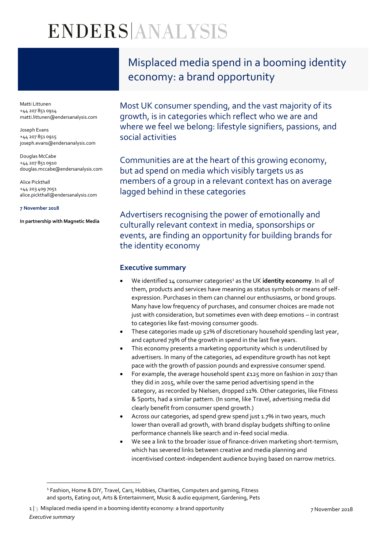# ENDERSANALYSIS

Matti Littunen +44 207 851 0914 matti.littunen@endersanalysis.com

Joseph Evans +44 207 851 0915 joseph.evans@endersanalysis.com

Douglas McCabe +44 207 851 0910 douglas.mccabe@endersanalysis.com

Alice Pickthall +44 203 409 7051 alice.pickthall@endersanalysis.com

#### **7 November 2018**

 $\overline{a}$ 

**In partnership with Magnetic Media**

Misplaced media spend in a booming identity economy: a brand opportunity

Most UK consumer spending, and the vast majority of its growth, is in categories which reflect who we are and where we feel we belong: lifestyle signifiers, passions, and social activities

Communities are at the heart of this growing economy, but ad spend on media which visibly targets us as members of a group in a relevant context has on average lagged behind in these categories

Advertisers recognising the power of emotionally and culturally relevant context in media, sponsorships or events, are finding an opportunity for building brands for the identity economy

### **Executive summary**

- We identified 14 consumer categories<sup>1</sup> as the UK **identity economy**. In all of them, products and services have meaning as status symbols or means of selfexpression. Purchases in them can channel our enthusiasms, or bond groups. Many have low frequency of purchases, and consumer choices are made not just with consideration, but sometimes even with deep emotions – in contrast to categories like fast-moving consumer goods.
- These categories made up 52% of discretionary household spending last year, and captured 79% of the growth in spend in the last five years.
- This economy presents a marketing opportunity which is underutilised by advertisers. In many of the categories, ad expenditure growth has not kept pace with the growth of passion pounds and expressive consumer spend.
- For example, the average household spent £125 more on fashion in 2017 than they did in 2015, while over the same period advertising spend in the category, as recorded by Nielsen, dropped 11%. Other categories, like Fitness & Sports, had a similar pattern. (In some, like Travel, advertising media did clearly benefit from consumer spend growth.)
- Across our categories, ad spend grew spend just 1.7% in two years, much lower than overall ad growth, with brand display budgets shifting to online performance channels like search and in-feed social media.
- We see a link to the broader issue of finance-driven marketing short-termism, which has severed links between creative and media planning and incentivised context-independent audience buying based on narrow metrics.

<sup>&</sup>lt;sup>1</sup> Fashion, Home & DIY, Travel, Cars, Hobbies, Charities, Computers and gaming, Fitness and sports, Eating out, Arts & Entertainment, Music & audio equipment, Gardening, Pets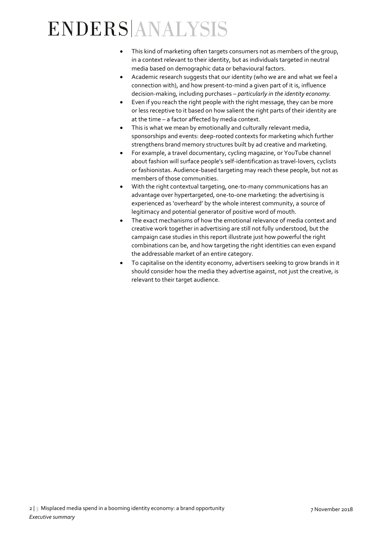## ENDERSANALYSIS

- This kind of marketing often targets consumers not as members of the group, in a context relevant to their identity, but as individuals targeted in neutral media based on demographic data or behavioural factors.
- Academic research suggests that our identity (who we are and what we feel a connection with), and how present-to-mind a given part of it is, influence decision-making, including purchases – *particularly in the identity economy.*
- Even if you reach the right people with the right message, they can be more or less receptive to it based on how salient the right parts of their identity are at the time – a factor affected by media context.
- This is what we mean by emotionally and culturally relevant media, sponsorships and events: deep-rooted contexts for marketing which further strengthens brand memory structures built by ad creative and marketing.
- For example, a travel documentary, cycling magazine, or YouTube channel about fashion will surface people's self-identification as travel-lovers, cyclists or fashionistas. Audience-based targeting may reach these people, but not as members of those communities.
- With the right contextual targeting, one-to-many communications has an advantage over hypertargeted, one-to-one marketing: the advertising is experienced as 'overheard' by the whole interest community, a source of legitimacy and potential generator of positive word of mouth.
- The exact mechanisms of how the emotional relevance of media context and creative work together in advertising are still not fully understood, but the campaign case studies in this report illustrate just how powerful the right combinations can be, and how targeting the right identities can even expand the addressable market of an entire category.
- To capitalise on the identity economy, advertisers seeking to grow brands in it should consider how the media they advertise against, not just the creative, is relevant to their target audience.